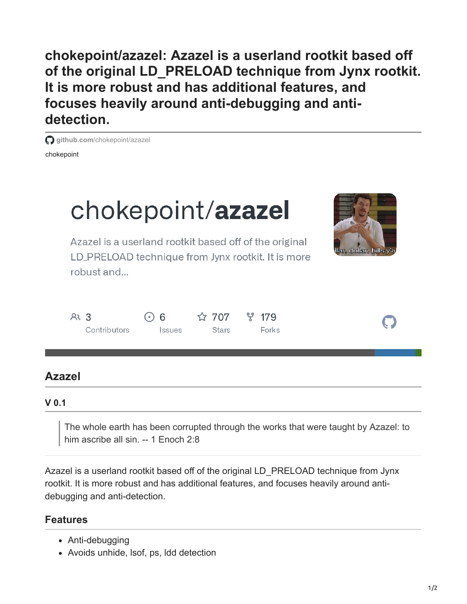**chokepoint/azazel: Azazel is a userland rootkit based off of the original LD\_PRELOAD technique from Jynx rootkit. It is more robust and has additional features, and focuses heavily around anti-debugging and antidetection.**

chokepoint **g** aithub.com[/chokepoint/azazel](https://github.com/chokepoint/azazel)



## **V 0.1**

The whole earth has been corrupted through the works that were taught by Azazel: to him ascribe all sin. -- 1 Enoch 2:8

Azazel is a userland rootkit based off of the original LD\_PRELOAD technique from Jynx rootkit. It is more robust and has additional features, and focuses heavily around antidebugging and anti-detection.

## **Features**

- Anti-debugging
- Avoids unhide, lsof, ps, ldd detection